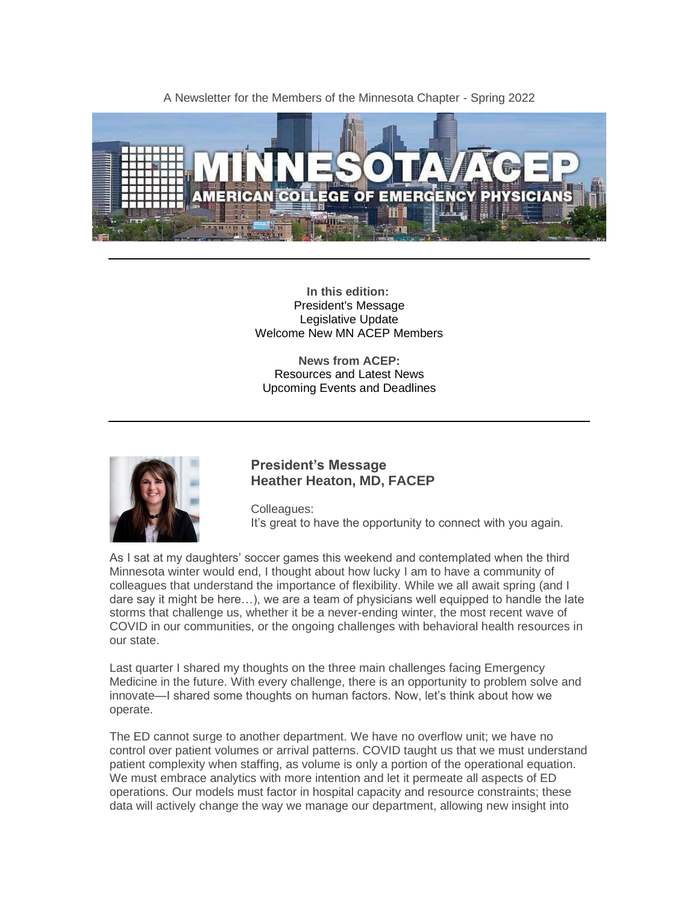A Newsletter for the Members of the Minnesota Chapter - Spring 2022



**In this edition:** President's Message Legislative Update Welcome New MN ACEP Members

**News from ACEP:** Resources and Latest News Upcoming Events and Deadlines



### **President's Message Heather Heaton, MD, FACEP**

Colleagues: It's great to have the opportunity to connect with you again.

As I sat at my daughters' soccer games this weekend and contemplated when the third Minnesota winter would end, I thought about how lucky I am to have a community of colleagues that understand the importance of flexibility. While we all await spring (and I dare say it might be here…), we are a team of physicians well equipped to handle the late storms that challenge us, whether it be a never-ending winter, the most recent wave of COVID in our communities, or the ongoing challenges with behavioral health resources in our state.

Last quarter I shared my thoughts on the three main challenges facing Emergency Medicine in the future. With every challenge, there is an opportunity to problem solve and innovate—I shared some thoughts on human factors. Now, let's think about how we operate.

The ED cannot surge to another department. We have no overflow unit; we have no control over patient volumes or arrival patterns. COVID taught us that we must understand patient complexity when staffing, as volume is only a portion of the operational equation. We must embrace analytics with more intention and let it permeate all aspects of ED operations. Our models must factor in hospital capacity and resource constraints; these data will actively change the way we manage our department, allowing new insight into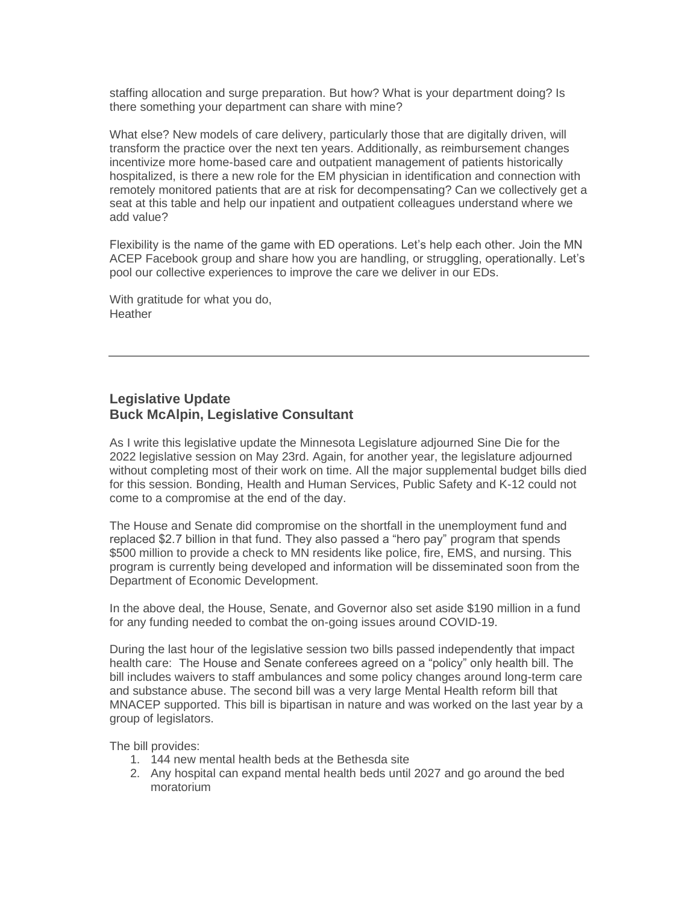staffing allocation and surge preparation. But how? What is your department doing? Is there something your department can share with mine?

What else? New models of care delivery, particularly those that are digitally driven, will transform the practice over the next ten years. Additionally, as reimbursement changes incentivize more home-based care and outpatient management of patients historically hospitalized, is there a new role for the EM physician in identification and connection with remotely monitored patients that are at risk for decompensating? Can we collectively get a seat at this table and help our inpatient and outpatient colleagues understand where we add value?

Flexibility is the name of the game with ED operations. Let's help each other. Join the MN ACEP Facebook group and share how you are handling, or struggling, operationally. Let's pool our collective experiences to improve the care we deliver in our EDs.

With gratitude for what you do, **Heather** 

### **Legislative Update Buck McAlpin, Legislative Consultant**

As I write this legislative update the Minnesota Legislature adjourned Sine Die for the 2022 legislative session on May 23rd. Again, for another year, the legislature adjourned without completing most of their work on time. All the major supplemental budget bills died for this session. Bonding, Health and Human Services, Public Safety and K-12 could not come to a compromise at the end of the day.

The House and Senate did compromise on the shortfall in the unemployment fund and replaced \$2.7 billion in that fund. They also passed a "hero pay" program that spends \$500 million to provide a check to MN residents like police, fire, EMS, and nursing. This program is currently being developed and information will be disseminated soon from the Department of Economic Development.

In the above deal, the House, Senate, and Governor also set aside \$190 million in a fund for any funding needed to combat the on-going issues around COVID-19.

During the last hour of the legislative session two bills passed independently that impact health care: The House and Senate conferees agreed on a "policy" only health bill. The bill includes waivers to staff ambulances and some policy changes around long-term care and substance abuse. The second bill was a very large Mental Health reform bill that MNACEP supported. This bill is bipartisan in nature and was worked on the last year by a group of legislators.

The bill provides:

- 1. 144 new mental health beds at the Bethesda site
- 2. Any hospital can expand mental health beds until 2027 and go around the bed moratorium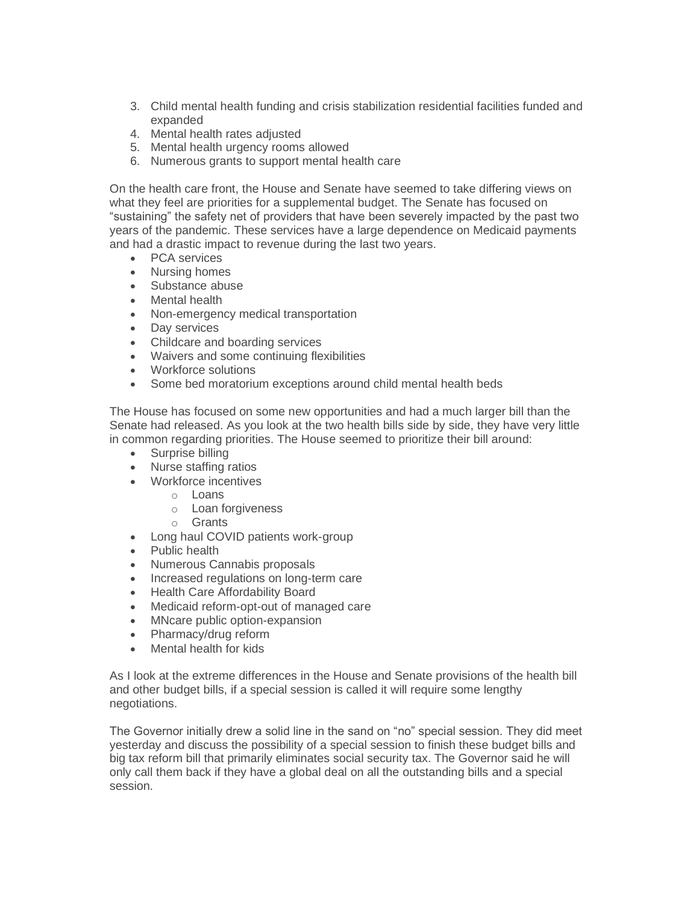- 3. Child mental health funding and crisis stabilization residential facilities funded and expanded
- 4. Mental health rates adjusted
- 5. Mental health urgency rooms allowed
- 6. Numerous grants to support mental health care

On the health care front, the House and Senate have seemed to take differing views on what they feel are priorities for a supplemental budget. The Senate has focused on "sustaining" the safety net of providers that have been severely impacted by the past two years of the pandemic. These services have a large dependence on Medicaid payments and had a drastic impact to revenue during the last two years.

- PCA services
- Nursing homes
- Substance abuse
- Mental health
- Non-emergency medical transportation
- Day services
- Childcare and boarding services
- Waivers and some continuing flexibilities
- Workforce solutions
- Some bed moratorium exceptions around child mental health beds

The House has focused on some new opportunities and had a much larger bill than the Senate had released. As you look at the two health bills side by side, they have very little in common regarding priorities. The House seemed to prioritize their bill around:

- Surprise billing
- Nurse staffing ratios
- Workforce incentives
	- o Loans
	- o Loan forgiveness
	- o Grants
- Long haul COVID patients work-group
- Public health
- Numerous Cannabis proposals
- Increased regulations on long-term care
- Health Care Affordability Board
- Medicaid reform-opt-out of managed care
- MNcare public option-expansion
- Pharmacy/drug reform
- Mental health for kids

As I look at the extreme differences in the House and Senate provisions of the health bill and other budget bills, if a special session is called it will require some lengthy negotiations.

The Governor initially drew a solid line in the sand on "no" special session. They did meet yesterday and discuss the possibility of a special session to finish these budget bills and big tax reform bill that primarily eliminates social security tax. The Governor said he will only call them back if they have a global deal on all the outstanding bills and a special session.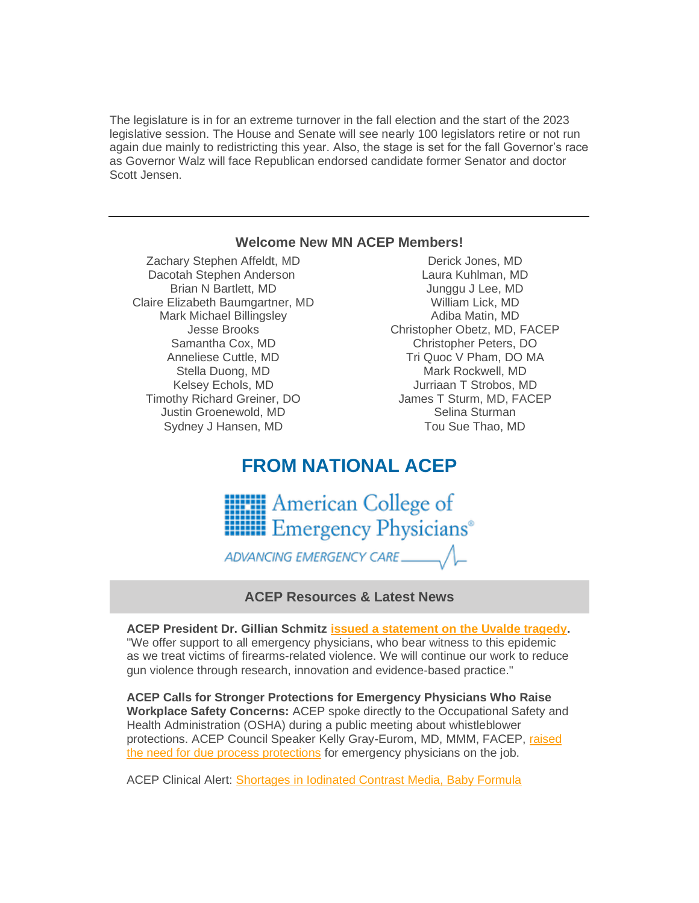The legislature is in for an extreme turnover in the fall election and the start of the 2023 legislative session. The House and Senate will see nearly 100 legislators retire or not run again due mainly to redistricting this year. Also, the stage is set for the fall Governor's race as Governor Walz will face Republican endorsed candidate former Senator and doctor Scott Jensen.

#### **Welcome New MN ACEP Members!**

Zachary Stephen Affeldt, MD Dacotah Stephen Anderson Brian N Bartlett, MD Claire Elizabeth Baumgartner, MD Mark Michael Billingsley Jesse Brooks Samantha Cox, MD Anneliese Cuttle, MD Stella Duong, MD Kelsey Echols, MD Timothy Richard Greiner, DO Justin Groenewold, MD Sydney J Hansen, MD

Derick Jones, MD Laura Kuhlman, MD Junggu J Lee, MD William Lick, MD Adiba Matin, MD Christopher Obetz, MD, FACEP Christopher Peters, DO Tri Quoc V Pham, DO MA Mark Rockwell, MD Jurriaan T Strobos, MD James T Sturm, MD, FACEP Selina Sturman Tou Sue Thao, MD

# **FROM NATIONAL ACEP**



ADVANCING EMERGENCY CARE

# **ACEP Resources & Latest News**

**ACEP President Dr. Gillian Schmitz [issued a statement on the Uvalde tragedy.](https://www.acep.org/news/acep-newsroom-articles/a-message-from-the-acep-president-on-the-uvalde-texas-tragedy/)** "We offer support to all emergency physicians, who bear witness to this epidemic as we treat victims of firearms-related violence. We will continue our work to reduce gun violence through research, innovation and evidence-based practice."

**ACEP Calls for Stronger Protections for Emergency Physicians Who Raise Workplace Safety Concerns:** ACEP spoke directly to the Occupational Safety and Health Administration (OSHA) during a public meeting about whistleblower protections. ACEP Council Speaker Kelly Gray-Eurom, MD, MMM, FACEP, raised [the need for due process protections](https://www.acep.org/home-page-redirects/latest-news/acep-calls-for-stronger-protections-for-emergency-physicians-who-raise-workplace-safety-concerns/) for emergency physicians on the job.

ACEP Clinical Alert: [Shortages in Iodinated Contrast Media, Baby Formula](https://www.acep.org/home-page-redirects/latest-news/clinical-alert-shortages-in-iodinated-contrast-media-baby-formula/)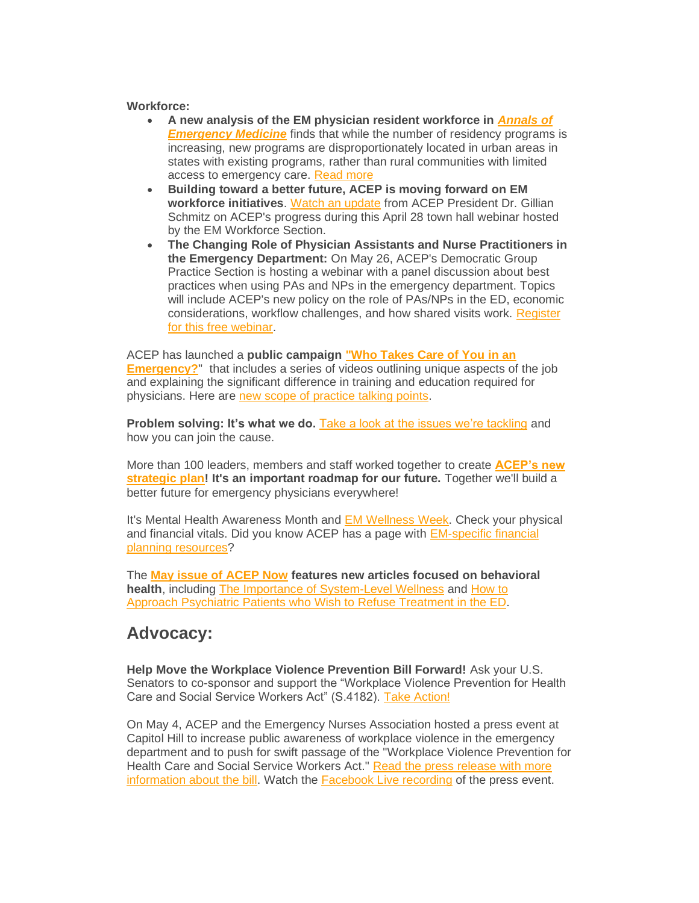#### **Workforce:**

- **A new analysis of the EM physician resident workforce in** *[Annals of](https://www.annemergmed.com/article/S0196-0644(22)00186-X/fulltext)  [Emergency Medicine](https://www.annemergmed.com/article/S0196-0644(22)00186-X/fulltext)* finds that while the number of residency programs is increasing, new programs are disproportionately located in urban areas in states with existing programs, rather than rural communities with limited access to emergency care. [Read more](https://www.emergencyphysicians.org/press-releases/2022/5-12-22-uneven-distribution-of-emergency-physician-residency-programs-can-impact-workforce-challenges-new-analysis-finds)
- **Building toward a better future, ACEP is moving forward on EM workforce initiatives**. [Watch an update](https://www.acep.org/life-as-a-physician/workforce/workforce-videos/workforce-minute-videos/em-workforce-section-town-hall---april-30-2022/) from ACEP President Dr. Gillian Schmitz on ACEP's progress during this April 28 town hall webinar hosted by the EM Workforce Section.
- **The Changing Role of Physician Assistants and Nurse Practitioners in the Emergency Department:** On May 26, ACEP's Democratic Group Practice Section is hosting a webinar with a panel discussion about best practices when using PAs and NPs in the emergency department. Topics will include ACEP's new policy on the role of PAs/NPs in the ED, economic considerations, workflow challenges, and how shared visits work. [Register](https://www.acep.org/master-calendar/the-changing-role-of-physician-assistants-and-nurse-practitioners-in-the-emergency-department/)  for [this free webinar.](https://www.acep.org/master-calendar/the-changing-role-of-physician-assistants-and-nurse-practitioners-in-the-emergency-department/)

ACEP has launched a **public campaign ["Who Takes Care of You in an](https://www.emergencyphysicians.org/article/er101/who-takes-care-of-you-in-an-emergency)  [Emergency?](https://www.emergencyphysicians.org/article/er101/who-takes-care-of-you-in-an-emergency)**" that includes a series of videos outlining unique aspects of the job and explaining the significant difference in training and education required for physicians. Here are [new scope of practice talking points.](https://www.acep.org/acep-media-hub/media-hub-articles/march-2022/scope-of-practice-talking-points/)

**Problem solving: It's what we do.** [Take a look at the issues we're tackling](https://www.acep.org/who-we-are/pulling-together-2021-annual-report/) and how you can join the cause.

More than 100 leaders, members and staff worked together to create **[ACEP's new](https://www.acep.org/strategicplan/)  [strategic plan!](https://www.acep.org/strategicplan/) It's an important roadmap for our future.** Together we'll build a better future for emergency physicians everywhere!

It's Mental Health Awareness Month and [EM Wellness Week.](https://www.acep.org/wellness/) Check your physical and financial vitals. Did you know ACEP has a page with [EM-specific financial](https://www.acep.org/life-as-a-physician/financial-planning/)  [planning resources?](https://www.acep.org/life-as-a-physician/financial-planning/)

The **[May issue of](https://www.acepnow.com/issues/?issue=acep-now-vol-41-no-05-may-2022) ACEP Now features new articles focused on behavioral health**, including [The Importance of System-Level Wellness](https://www.acepnow.com/article/importance-of-system-level-wellness/) and [How to](https://www.acepnow.com/article/how-can-they-refuse/)  Approach [Psychiatric Patients who Wish to](https://www.acepnow.com/article/how-can-they-refuse/) Refuse Treatment in the ED.

# **Advocacy:**

**Help Move the Workplace Violence Prevention Bill Forward!** Ask your U.S. Senators to co-sponsor and support the "Workplace Violence Prevention for Health Care and Social Service Workers Act" (S.4182). [Take Action!](https://www.acep.org/federal-advocacy/federal-advocacy-overview/advocacy-action-center/)

On May 4, ACEP and the Emergency Nurses Association hosted a press event at Capitol Hill to increase public awareness of workplace violence in the emergency department and to push for swift passage of the "Workplace Violence Prevention for Health Care and Social Service Workers Act." [Read the press release with more](http://sm1.multiview.com/t/gcH1AAkbaBPWNYQdQMBOmC0ZyEYsaY47UPZ2caaaaY47BRH4C4oaa?j=wXkdmema~25EqkSof.yhq~amp;T=wXkdmema~25EqkSof.yhq~amp;b=Ne~amp;7=)  [information about the bill.](http://sm1.multiview.com/t/gcH1AAkbaBPWNYQdQMBOmC0ZyEYsaY47UPZ2caaaaY47BRH4C4oaa?j=wXkdmema~25EqkSof.yhq~amp;T=wXkdmema~25EqkSof.yhq~amp;b=Ne~amp;7=) Watch the [Facebook Live recording](https://www.facebook.com/watch/live/?extid=NS-UNK-UNK-UNK-IOS_GK0T-GK1C&ref=watch_permalink&v=354834690042755) of the press event.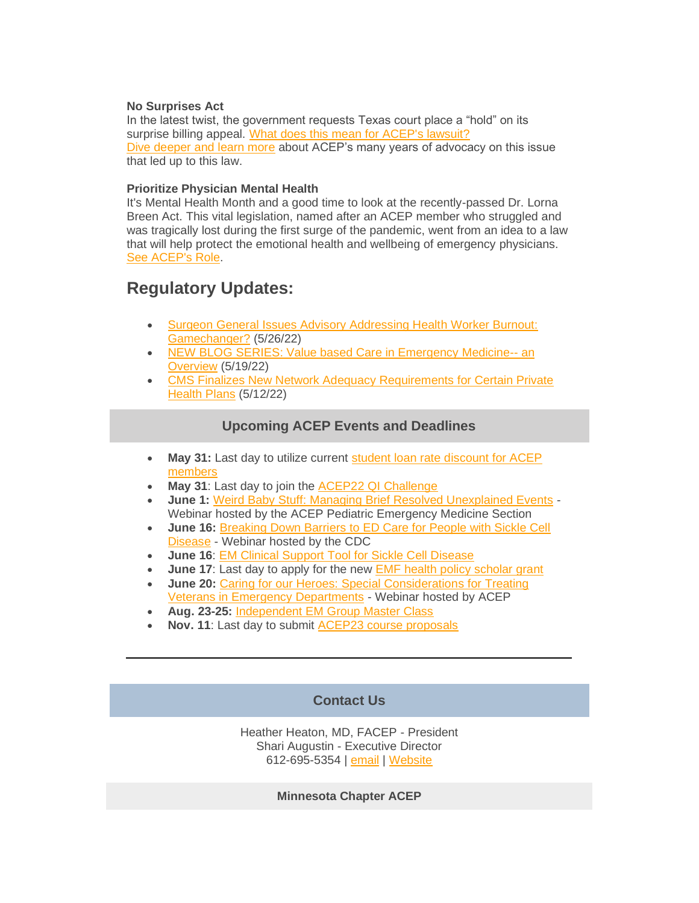#### **No Surprises Act**

In the latest twist, the government requests Texas court place a "hold" on its surprise billing appeal. [What does this mean for ACEP's lawsuit?](https://www.emergencyphysicians.org/press-releases/2022/in-latest-twist-government-requests-texas-court-place-hold-on-its-surprise-billing-appeal) [Dive deeper and learn more](https://www.acep.org/federal-advocacy/federal-advocacy-overview/acep4u/acep4u-out-of-network/) about ACEP's many years of advocacy on this issue that led up to this law.

#### **Prioritize Physician Mental Health**

It's Mental Health Month and a good time to look at the recently-passed Dr. Lorna Breen Act. This vital legislation, named after an ACEP member who struggled and was tragically lost during the first surge of the pandemic, went from an idea to a law that will help protect the emotional health and wellbeing of emergency physicians. [See ACEP's Role.](https://www.acep.org/federal-advocacy/mental-health/dr.-lorna-breen-health-care-provider-protection-act/)

# **Regulatory Updates:**

- [Surgeon General Issues Advisory Addressing Health Worker Burnout:](https://www.acep.org/federal-advocacy/federal-advocacy-overview/regs--eggs/regs--eggs-articles/regs--eggs---may-26-2022/)  [Gamechanger?](https://www.acep.org/federal-advocacy/federal-advocacy-overview/regs--eggs/regs--eggs-articles/regs--eggs---may-26-2022/) (5/26/22)
- [NEW BLOG SERIES: Value based Care in Emergency Medicine--](https://www.acep.org/federal-advocacy/federal-advocacy-overview/regs--eggs/regs--eggs-articles/regs--eggs---may-19-2022/) an [Overview](https://www.acep.org/federal-advocacy/federal-advocacy-overview/regs--eggs/regs--eggs-articles/regs--eggs---may-19-2022/) (5/19/22)
- [CMS Finalizes New Network Adequacy Requirements for Certain Private](https://www.acep.org/federal-advocacy/federal-advocacy-overview/regs--eggs/regs--eggs-articles/regs--eggs---may-12-2022/)  [Health Plans](https://www.acep.org/federal-advocacy/federal-advocacy-overview/regs--eggs/regs--eggs-articles/regs--eggs---may-12-2022/) (5/12/22)

# **Upcoming ACEP Events and Deadlines**

- **May 31:** Last day to utilize current [student loan rate discount for ACEP](https://www.acep.org/membership/membership/benefits-of-membership/member-benefits/benefits-articles/sofi/)  [members](https://www.acep.org/membership/membership/benefits-of-membership/member-benefits/benefits-articles/sofi/)
- May 31: Last day to join the **ACEP22 QI Challenge**
- **June 1:** [Weird Baby Stuff: Managing Brief Resolved Unexplained Events](https://www.acep.org/master-calendar/weird-baby-stuff-managing-brief-resolved-unexplained-events/) Webinar hosted by the ACEP Pediatric Emergency Medicine Section
- **June 16:** [Breaking Down Barriers to ED Care for People with Sickle Cell](https://www.acep.org/master-calendar/breaking-down-barriers-to-ed-care-for-people-with-sickle-cell-disease/)  [Disease](https://www.acep.org/master-calendar/breaking-down-barriers-to-ed-care-for-people-with-sickle-cell-disease/) - Webinar hosted by the CDC
- **June 16**: [EM Clinical Support Tool for Sickle Cell Disease](http://sickleecho.org/)
- **June 17:** Last day to apply for the new **EMF** health policy scholar grant
- **June 20:** [Caring for our Heroes: Special Considerations for Treating](https://www.acep.org/master-calendar/caring-for-our-heroes-special-considerations-for-treating-veterans-in-emergency-departments--/)  [Veterans in Emergency Departments](https://www.acep.org/master-calendar/caring-for-our-heroes-special-considerations-for-treating-veterans-in-emergency-departments--/) - Webinar hosted by ACEP
- **Aug. 23-25:** [Independent EM Group Master Class](https://www.acep.org/Indyclass)
- **Nov. 11**: Last day to submit [ACEP23 course proposals](https://www.acep.org/education/meetings/scientific-assembly-course-proposal-form/)

# **Contact Us**

Heather Heaton, MD, FACEP - President Shari Augustin - Executive Director 612-695-5354 | [email](mailto:mnacep@gmail.com) | [Website](http://www.minnacep.org/)

**Minnesota Chapter ACEP**